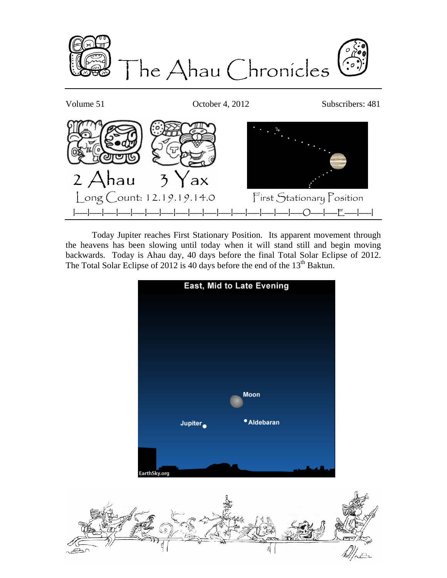

Volume 51 Corober 4, 2012 Subscribers: 481

Ahau  $\overline{\mathcal{L}}$  $ax$  Long Count: 12.19.19.14.0 First Stationary Position I-----I-----I-----I-----I-----I-----I-----I-----I-----I-----I-----I-----I-----I-----I-----I-----O-----I-----E-----I-----I

Today Jupiter reaches First Stationary Position. Its apparent movement through the heavens has been slowing until today when it will stand still and begin moving backwards. Today is Ahau day, 40 days before the final Total Solar Eclipse of 2012. The Total Solar Eclipse of 2012 is 40 days before the end of the 13<sup>th</sup> Baktun.



ส.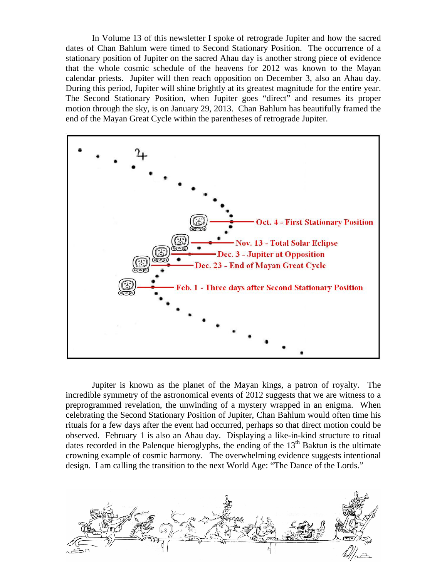In Volume 13 of this newsletter I spoke of retrograde Jupiter and how the sacred dates of Chan Bahlum were timed to Second Stationary Position. The occurrence of a stationary position of Jupiter on the sacred Ahau day is another strong piece of evidence that the whole cosmic schedule of the heavens for 2012 was known to the Mayan calendar priests. Jupiter will then reach opposition on December 3, also an Ahau day. During this period, Jupiter will shine brightly at its greatest magnitude for the entire year. The Second Stationary Position, when Jupiter goes "direct" and resumes its proper motion through the sky, is on January 29, 2013. Chan Bahlum has beautifully framed the end of the Mayan Great Cycle within the parentheses of retrograde Jupiter.



Jupiter is known as the planet of the Mayan kings, a patron of royalty. The incredible symmetry of the astronomical events of 2012 suggests that we are witness to a preprogrammed revelation, the unwinding of a mystery wrapped in an enigma. When celebrating the Second Stationary Position of Jupiter, Chan Bahlum would often time his rituals for a few days after the event had occurred, perhaps so that direct motion could be observed. February 1 is also an Ahau day. Displaying a like-in-kind structure to ritual dates recorded in the Palenque hieroglyphs, the ending of the  $13<sup>th</sup>$  Baktun is the ultimate crowning example of cosmic harmony. The overwhelming evidence suggests intentional design. I am calling the transition to the next World Age: "The Dance of the Lords."

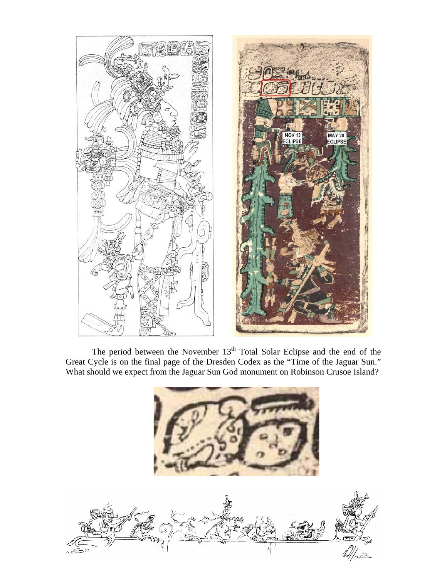

The period between the November  $13<sup>th</sup>$  Total Solar Eclipse and the end of the Great Cycle is on the final page of the Dresden Codex as the "Time of the Jaguar Sun." What should we expect from the Jaguar Sun God monument on Robinson Crusoe Island?

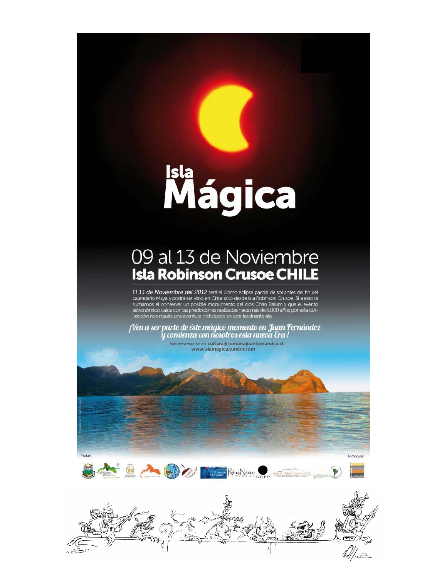## Isla<br>Mágica

## 09 al 13 de Noviembre **Isla Robinson Crusoe CHILE**

El 13 de Noviembre del 2012 será el último eclipse parcial de sol antes del fin del calendario Maya y podrá ser visto en Chile sólo desde Isla Robinson Crusoe. Si a esto le sumamos el conservar un posible monumento del dios Chan Balum y que el evento<br>astronómico calce con las predicciones realizadas hace más de 5.000 años por esta civi-<br>lización nos resulta una aventura inolvidable en esta fa

¡Ven a ser parte de éste mágico momento en Juan Fernández<br>y comienza con nosotros esta nueva Era !

Más información en cultura@comunajuanfernandez.cl<br>www.islamagica.tumblr.com



Patrocina